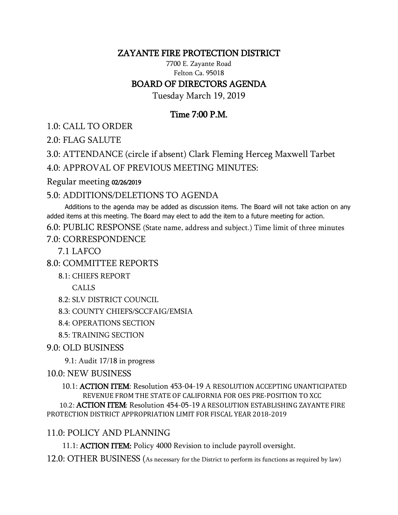#### ZAYANTE FIRE PROTECTION DISTRICT

#### 7700 E. Zayante Road Felton Ca. 95018 BOARD OF DIRECTORS AGENDA

Tuesday March 19, 2019

# Time 7:00 P.M.

1.0: CALL TO ORDER

2.0: FLAG SALUTE

3.0: ATTENDANCE (circle if absent) Clark Fleming Herceg Maxwell Tarbet

4.0: APPROVAL OF PREVIOUS MEETING MINUTES:

#### Regular meeting 02/26/2019

## 5.0: ADDITIONS/DELETIONS TO AGENDA

 Additions to the agenda may be added as discussion items. The Board will not take action on any added items at this meeting. The Board may elect to add the item to a future meeting for action.

6.0: PUBLIC RESPONSE (State name, address and subject.) Time limit of three minutes

#### 7.0: CORRESPONDENCE

7.1 LAFCO

8.0: COMMITTEE REPORTS

8.1: CHIEFS REPORT

CALLS

8.2: SLV DISTRICT COUNCIL

8.3: COUNTY CHIEFS/SCCFAIG/EMSIA

8.4: OPERATIONS SECTION

8.5: TRAINING SECTION

## 9.0: OLD BUSINESS

9.1: Audit 17/18 in progress

## 10.0: NEW BUSINESS

 10.1: ACTION ITEM: Resolution 453-04-19 A RESOLUTION ACCEPTING UNANTICIPATED REVENUE FROM THE STATE OF CALIFORNIA FOR OES PRE-POSITION TO XCC 10.2: ACTION ITEM: Resolution 454-05-19 A RESOLUTION ESTABLISHING ZAYANTE FIRE

PROTECTION DISTRICT APPROPRIATION LIMIT FOR FISCAL YEAR 2018-2019

## 11.0: POLICY AND PLANNING

11.1: ACTION ITEM: Policy 4000 Revision to include payroll oversight.

12.0: OTHER BUSINESS (As necessary for the District to perform its functions as required by law)